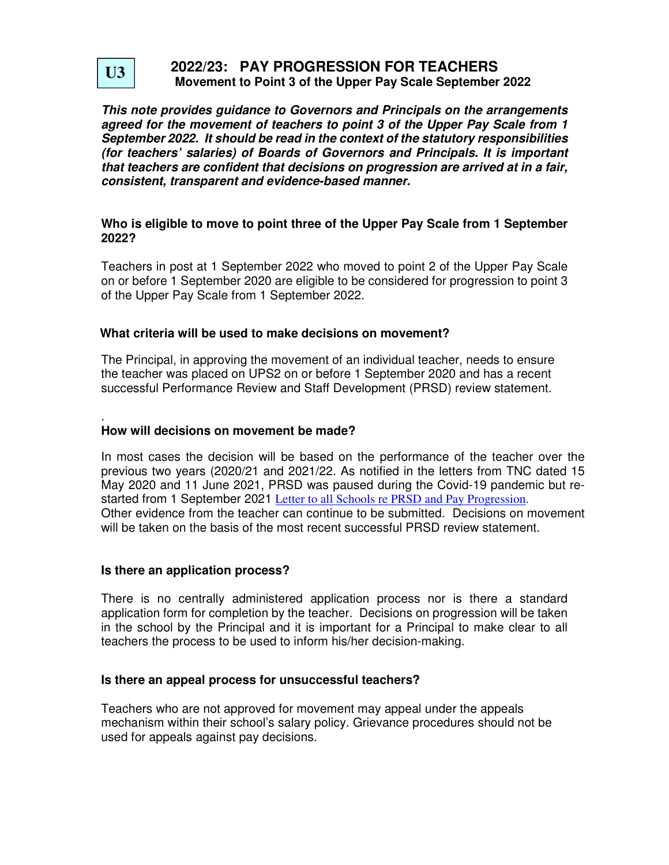

## **2022/23: PAY PROGRESSION FOR TEACHERS Movement to Point 3 of the Upper Pay Scale September 2022**

**This note provides guidance to Governors and Principals on the arrangements agreed for the movement of teachers to point 3 of the Upper Pay Scale from 1 September 2022. It should be read in the context of the statutory responsibilities (for teachers' salaries) of Boards of Governors and Principals. It is important that teachers are confident that decisions on progression are arrived at in a fair, consistent, transparent and evidence-based manner.** 

## **Who is eligible to move to point three of the Upper Pay Scale from 1 September 2022?**

Teachers in post at 1 September 2022 who moved to point 2 of the Upper Pay Scale on or before 1 September 2020 are eligible to be considered for progression to point 3 of the Upper Pay Scale from 1 September 2022.

## **What criteria will be used to make decisions on movement?**

The Principal, in approving the movement of an individual teacher, needs to ensure the teacher was placed on UPS2 on or before 1 September 2020 and has a recent successful Performance Review and Staff Development (PRSD) review statement.

#### . **How will decisions on movement be made?**

In most cases the decision will be based on the performance of the teacher over the previous two years (2020/21 and 2021/22. As notified in the letters from TNC dated 15 May 2020 and 11 June 2021, PRSD was paused during the Covid-19 pandemic but restarted from 1 September 2021 Letter to all Schools re PRSD and Pay Progression. Other evidence from the teacher can continue to be submitted. Decisions on movement will be taken on the basis of the most recent successful PRSD review statement.

## **Is there an application process?**

There is no centrally administered application process nor is there a standard application form for completion by the teacher. Decisions on progression will be taken in the school by the Principal and it is important for a Principal to make clear to all teachers the process to be used to inform his/her decision-making.

## **Is there an appeal process for unsuccessful teachers?**

Teachers who are not approved for movement may appeal under the appeals mechanism within their school's salary policy. Grievance procedures should not be used for appeals against pay decisions.